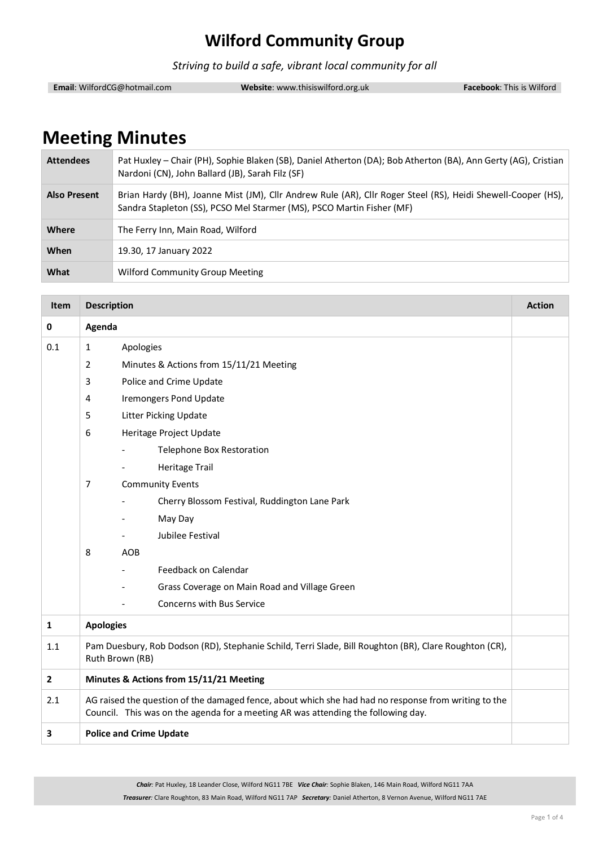*Striving to build a safe, vibrant local community for all*

**Email**: WilfordCG@hotmail.com **Website**: www.thisiswilford.org.uk **Facebook**: This is Wilford

# **Meeting Minutes**

| <b>Attendees</b> | Pat Huxley - Chair (PH), Sophie Blaken (SB), Daniel Atherton (DA); Bob Atherton (BA), Ann Gerty (AG), Cristian<br>Nardoni (CN), John Ballard (JB), Sarah Filz (SF)                    |
|------------------|---------------------------------------------------------------------------------------------------------------------------------------------------------------------------------------|
| Also Present     | Brian Hardy (BH), Joanne Mist (JM), Cllr Andrew Rule (AR), Cllr Roger Steel (RS), Heidi Shewell-Cooper (HS),<br>Sandra Stapleton (SS), PCSO Mel Starmer (MS), PSCO Martin Fisher (MF) |
| Where            | The Ferry Inn, Main Road, Wilford                                                                                                                                                     |
| When             | 19.30, 17 January 2022                                                                                                                                                                |
| What             | <b>Wilford Community Group Meeting</b>                                                                                                                                                |

| <b>Item</b>             | <b>Description</b>                                                                                                                                                                        |                                               | <b>Action</b> |  |
|-------------------------|-------------------------------------------------------------------------------------------------------------------------------------------------------------------------------------------|-----------------------------------------------|---------------|--|
| 0                       | Agenda                                                                                                                                                                                    |                                               |               |  |
| 0.1                     | $\mathbf{1}$<br>Apologies                                                                                                                                                                 |                                               |               |  |
|                         | 2<br>Minutes & Actions from 15/11/21 Meeting                                                                                                                                              |                                               |               |  |
|                         | 3<br>Police and Crime Update                                                                                                                                                              |                                               |               |  |
|                         | 4                                                                                                                                                                                         | <b>Iremongers Pond Update</b>                 |               |  |
|                         | 5                                                                                                                                                                                         | Litter Picking Update                         |               |  |
|                         | 6<br>Heritage Project Update                                                                                                                                                              |                                               |               |  |
|                         |                                                                                                                                                                                           | <b>Telephone Box Restoration</b>              |               |  |
|                         |                                                                                                                                                                                           | <b>Heritage Trail</b>                         |               |  |
|                         | <b>Community Events</b><br>7                                                                                                                                                              |                                               |               |  |
|                         |                                                                                                                                                                                           | Cherry Blossom Festival, Ruddington Lane Park |               |  |
|                         |                                                                                                                                                                                           | May Day                                       |               |  |
|                         |                                                                                                                                                                                           | Jubilee Festival                              |               |  |
|                         | 8                                                                                                                                                                                         | <b>AOB</b>                                    |               |  |
|                         |                                                                                                                                                                                           | Feedback on Calendar                          |               |  |
|                         |                                                                                                                                                                                           | Grass Coverage on Main Road and Village Green |               |  |
|                         |                                                                                                                                                                                           | <b>Concerns with Bus Service</b>              |               |  |
| $\mathbf{1}$            | <b>Apologies</b>                                                                                                                                                                          |                                               |               |  |
| 1.1                     | Pam Duesbury, Rob Dodson (RD), Stephanie Schild, Terri Slade, Bill Roughton (BR), Clare Roughton (CR),<br>Ruth Brown (RB)                                                                 |                                               |               |  |
| $\overline{\mathbf{2}}$ | Minutes & Actions from 15/11/21 Meeting                                                                                                                                                   |                                               |               |  |
| 2.1                     | AG raised the question of the damaged fence, about which she had had no response from writing to the<br>Council. This was on the agenda for a meeting AR was attending the following day. |                                               |               |  |
| 3                       |                                                                                                                                                                                           | <b>Police and Crime Update</b>                |               |  |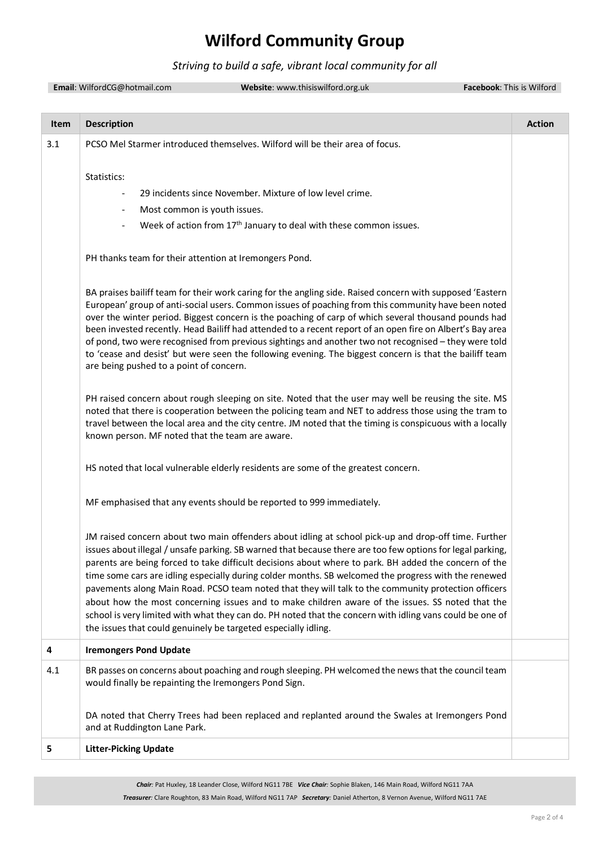*Striving to build a safe, vibrant local community for all*

|      | Email: WilfordCG@hotmail.com<br>Website: www.thisiswilford.org.uk |                                                                                                                                                                                                                                                                                                                                                                                                                                                                                                                                                                                                                                                                                                                                                                                                                              | Facebook: This is Wilford |
|------|-------------------------------------------------------------------|------------------------------------------------------------------------------------------------------------------------------------------------------------------------------------------------------------------------------------------------------------------------------------------------------------------------------------------------------------------------------------------------------------------------------------------------------------------------------------------------------------------------------------------------------------------------------------------------------------------------------------------------------------------------------------------------------------------------------------------------------------------------------------------------------------------------------|---------------------------|
|      |                                                                   |                                                                                                                                                                                                                                                                                                                                                                                                                                                                                                                                                                                                                                                                                                                                                                                                                              |                           |
| Item | <b>Description</b>                                                |                                                                                                                                                                                                                                                                                                                                                                                                                                                                                                                                                                                                                                                                                                                                                                                                                              | <b>Action</b>             |
| 3.1  |                                                                   | PCSO Mel Starmer introduced themselves. Wilford will be their area of focus.                                                                                                                                                                                                                                                                                                                                                                                                                                                                                                                                                                                                                                                                                                                                                 |                           |
|      | Statistics:                                                       |                                                                                                                                                                                                                                                                                                                                                                                                                                                                                                                                                                                                                                                                                                                                                                                                                              |                           |
|      |                                                                   | 29 incidents since November. Mixture of low level crime.                                                                                                                                                                                                                                                                                                                                                                                                                                                                                                                                                                                                                                                                                                                                                                     |                           |
|      | Most common is youth issues.                                      |                                                                                                                                                                                                                                                                                                                                                                                                                                                                                                                                                                                                                                                                                                                                                                                                                              |                           |
|      |                                                                   | Week of action from 17 <sup>th</sup> January to deal with these common issues.                                                                                                                                                                                                                                                                                                                                                                                                                                                                                                                                                                                                                                                                                                                                               |                           |
|      | PH thanks team for their attention at Iremongers Pond.            |                                                                                                                                                                                                                                                                                                                                                                                                                                                                                                                                                                                                                                                                                                                                                                                                                              |                           |
|      | are being pushed to a point of concern.                           | BA praises bailiff team for their work caring for the angling side. Raised concern with supposed 'Eastern<br>European' group of anti-social users. Common issues of poaching from this community have been noted<br>over the winter period. Biggest concern is the poaching of carp of which several thousand pounds had<br>been invested recently. Head Bailiff had attended to a recent report of an open fire on Albert's Bay area<br>of pond, two were recognised from previous sightings and another two not recognised - they were told<br>to 'cease and desist' but were seen the following evening. The biggest concern is that the bailiff team                                                                                                                                                                     |                           |
|      | known person. MF noted that the team are aware.                   | PH raised concern about rough sleeping on site. Noted that the user may well be reusing the site. MS<br>noted that there is cooperation between the policing team and NET to address those using the tram to<br>travel between the local area and the city centre. JM noted that the timing is conspicuous with a locally                                                                                                                                                                                                                                                                                                                                                                                                                                                                                                    |                           |
|      |                                                                   | HS noted that local vulnerable elderly residents are some of the greatest concern.                                                                                                                                                                                                                                                                                                                                                                                                                                                                                                                                                                                                                                                                                                                                           |                           |
|      |                                                                   | MF emphasised that any events should be reported to 999 immediately.                                                                                                                                                                                                                                                                                                                                                                                                                                                                                                                                                                                                                                                                                                                                                         |                           |
|      |                                                                   | JM raised concern about two main offenders about idling at school pick-up and drop-off time. Further<br>issues about illegal / unsafe parking. SB warned that because there are too few options for legal parking,<br>parents are being forced to take difficult decisions about where to park. BH added the concern of the<br>time some cars are idling especially during colder months. SB welcomed the progress with the renewed<br>pavements along Main Road. PCSO team noted that they will talk to the community protection officers<br>about how the most concerning issues and to make children aware of the issues. SS noted that the<br>school is very limited with what they can do. PH noted that the concern with idling vans could be one of<br>the issues that could genuinely be targeted especially idling. |                           |
| 4    | <b>Iremongers Pond Update</b>                                     |                                                                                                                                                                                                                                                                                                                                                                                                                                                                                                                                                                                                                                                                                                                                                                                                                              |                           |
| 4.1  | would finally be repainting the Iremongers Pond Sign.             | BR passes on concerns about poaching and rough sleeping. PH welcomed the news that the council team                                                                                                                                                                                                                                                                                                                                                                                                                                                                                                                                                                                                                                                                                                                          |                           |
|      | and at Ruddington Lane Park.                                      | DA noted that Cherry Trees had been replaced and replanted around the Swales at Iremongers Pond                                                                                                                                                                                                                                                                                                                                                                                                                                                                                                                                                                                                                                                                                                                              |                           |
| 5    | <b>Litter-Picking Update</b>                                      |                                                                                                                                                                                                                                                                                                                                                                                                                                                                                                                                                                                                                                                                                                                                                                                                                              |                           |
|      |                                                                   |                                                                                                                                                                                                                                                                                                                                                                                                                                                                                                                                                                                                                                                                                                                                                                                                                              |                           |

*Chair:* Pat Huxley, 18 Leander Close, Wilford NG11 7BE *Vice Chair:* Sophie Blaken, 146 Main Road, Wilford NG11 7AA *Treasurer:* Clare Roughton, 83 Main Road, Wilford NG11 7AP *Secretary:* Daniel Atherton, 8 Vernon Avenue, Wilford NG11 7AE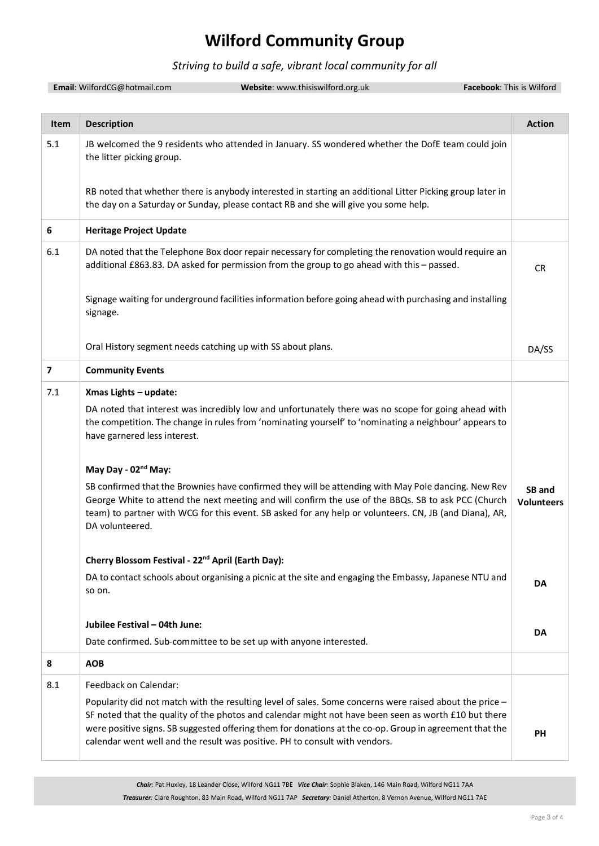#### *Striving to build a safe, vibrant local community for all*

|      | Email: WilfordCG@hotmail.com<br>Website: www.thisiswilford.org.uk<br>Facebook: This is Wilford                                                                                                                                                                                                                                                                                                            |                             |
|------|-----------------------------------------------------------------------------------------------------------------------------------------------------------------------------------------------------------------------------------------------------------------------------------------------------------------------------------------------------------------------------------------------------------|-----------------------------|
|      |                                                                                                                                                                                                                                                                                                                                                                                                           |                             |
| Item | <b>Description</b>                                                                                                                                                                                                                                                                                                                                                                                        | <b>Action</b>               |
| 5.1  | JB welcomed the 9 residents who attended in January. SS wondered whether the DofE team could join<br>the litter picking group.                                                                                                                                                                                                                                                                            |                             |
|      | RB noted that whether there is anybody interested in starting an additional Litter Picking group later in<br>the day on a Saturday or Sunday, please contact RB and she will give you some help.                                                                                                                                                                                                          |                             |
| 6    | <b>Heritage Project Update</b>                                                                                                                                                                                                                                                                                                                                                                            |                             |
| 6.1  | DA noted that the Telephone Box door repair necessary for completing the renovation would require an<br>additional £863.83. DA asked for permission from the group to go ahead with this - passed.                                                                                                                                                                                                        | <b>CR</b>                   |
|      | Signage waiting for underground facilities information before going ahead with purchasing and installing<br>signage.                                                                                                                                                                                                                                                                                      |                             |
|      | Oral History segment needs catching up with SS about plans.                                                                                                                                                                                                                                                                                                                                               | DA/SS                       |
| 7    | <b>Community Events</b>                                                                                                                                                                                                                                                                                                                                                                                   |                             |
| 7.1  | Xmas Lights - update:                                                                                                                                                                                                                                                                                                                                                                                     |                             |
|      | DA noted that interest was incredibly low and unfortunately there was no scope for going ahead with<br>the competition. The change in rules from 'nominating yourself' to 'nominating a neighbour' appears to<br>have garnered less interest.                                                                                                                                                             |                             |
|      | May Day - 02 <sup>nd</sup> May:                                                                                                                                                                                                                                                                                                                                                                           |                             |
|      | SB confirmed that the Brownies have confirmed they will be attending with May Pole dancing. New Rev<br>George White to attend the next meeting and will confirm the use of the BBQs. SB to ask PCC (Church<br>team) to partner with WCG for this event. SB asked for any help or volunteers. CN, JB (and Diana), AR,<br>DA volunteered.                                                                   | SB and<br><b>Volunteers</b> |
|      | Cherry Blossom Festival - 22 <sup>nd</sup> April (Earth Day):                                                                                                                                                                                                                                                                                                                                             |                             |
|      | DA to contact schools about organising a picnic at the site and engaging the Embassy, Japanese NTU and<br>so on.                                                                                                                                                                                                                                                                                          | DA                          |
|      | Jubilee Festival - 04th June:                                                                                                                                                                                                                                                                                                                                                                             |                             |
|      | Date confirmed. Sub-committee to be set up with anyone interested.                                                                                                                                                                                                                                                                                                                                        | DA                          |
| 8    | <b>AOB</b>                                                                                                                                                                                                                                                                                                                                                                                                |                             |
| 8.1  | Feedback on Calendar:                                                                                                                                                                                                                                                                                                                                                                                     |                             |
|      | Popularity did not match with the resulting level of sales. Some concerns were raised about the price -<br>SF noted that the quality of the photos and calendar might not have been seen as worth £10 but there<br>were positive signs. SB suggested offering them for donations at the co-op. Group in agreement that the<br>calendar went well and the result was positive. PH to consult with vendors. | <b>PH</b>                   |

*Chair:* Pat Huxley, 18 Leander Close, Wilford NG11 7BE *Vice Chair:* Sophie Blaken, 146 Main Road, Wilford NG11 7AA *Treasurer:* Clare Roughton, 83 Main Road, Wilford NG11 7AP *Secretary:* Daniel Atherton, 8 Vernon Avenue, Wilford NG11 7AE